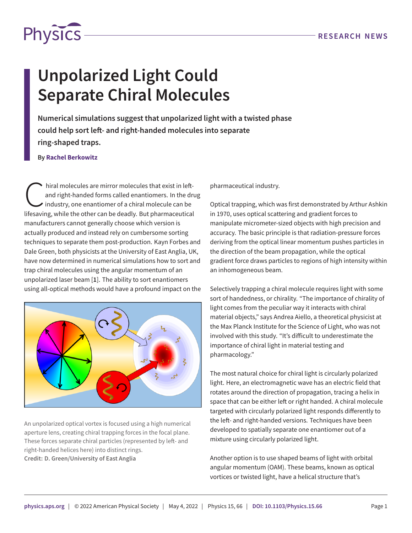

## **Unpolarized Light Could Separate Chiral Molecules**

**Numerical simulations suggest that unpolarized light with a twisted phase could help sort left- and right-handed molecules into separate ring-shaped traps.**

## **By Rachel Berkowitz**

hiral molecules are mirror molecules that exist in left-<br>and right-handed forms called enantiomers. In the driven industry, one enantiomer of a chiral molecule can be<br>lifesaving, while the other can be deadly. But pharmace hiral molecules are mirror molecules that exist in leftand right-handed forms called enantiomers. In the drug industry, one enantiomer of a chiral molecule can be manufacturers cannot generally choose which version is actually produced and instead rely on cumbersome sorting techniques to separate them post-production. Kayn Forbes and Dale Green, both physicists at the University of East Anglia, UK, have now determined in numerical simulations how to sort and trap chiral molecules using the angular momentum of an unpolarized laser beam [**[1](#page-1-0)**]. The ability to sort enantiomers using all-optical methods would have a profound impact on the



An unpolarized optical vortex is focused using a high numerical aperture lens, creating chiral trapping forces in the focal plane. These forces separate chiral particles (represented by left- and right-handed helices here) into distinct rings. **Credit: D. Green/University of East Anglia**

pharmaceutical industry.

Optical trapping, which was first demonstrated by Arthur Ashkin in 1970, uses optical scattering and gradient forces to manipulate micrometer-sized objects with high precision and accuracy. The basic principle is that radiation-pressure forces deriving from the optical linear momentum pushes particles in the direction of the beam propagation, while the optical gradient force draws particles to regions of high intensity within an inhomogeneous beam.

Selectively trapping a chiral molecule requires light with some sort of handedness, or chirality. "The importance of chirality of light comes from the peculiar way it interacts with chiral material objects," says Andrea Aiello, a theoretical physicist at the Max Planck Institute for the Science of Light, who was not involved with this study. "It's difficult to underestimate the importance of chiral light in material testing and pharmacology."

The most natural choice for chiral light is circularly polarized light. Here, an electromagnetic wave has an electric field that rotates around the direction of propagation, tracing a helix in space that can be either left or right handed. A chiral molecule targeted with circularly polarized light responds differently to the left- and right-handed versions. Techniques have been developed to spatially separate one enantiomer out of a mixture using circularly polarized light.

Another option is to use shaped beams of light with orbital angular momentum (OAM). These beams, known as optical vortices or twisted light, have a helical structure that's